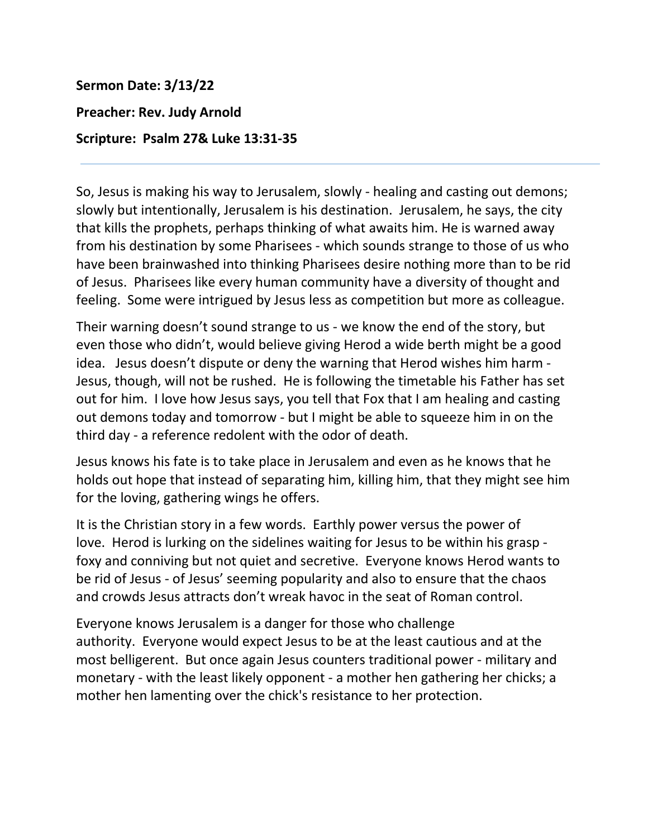## **Sermon Date: 3/13/22**

## **Preacher: Rev. Judy Arnold**

## **Scripture: Psalm 27& Luke 13:31-35**

So, Jesus is making his way to Jerusalem, slowly - healing and casting out demons; slowly but intentionally, Jerusalem is his destination. Jerusalem, he says, the city that kills the prophets, perhaps thinking of what awaits him. He is warned away from his destination by some Pharisees - which sounds strange to those of us who have been brainwashed into thinking Pharisees desire nothing more than to be rid of Jesus. Pharisees like every human community have a diversity of thought and feeling. Some were intrigued by Jesus less as competition but more as colleague.

Their warning doesn't sound strange to us - we know the end of the story, but even those who didn't, would believe giving Herod a wide berth might be a good idea. Jesus doesn't dispute or deny the warning that Herod wishes him harm - Jesus, though, will not be rushed. He is following the timetable his Father has set out for him. I love how Jesus says, you tell that Fox that I am healing and casting out demons today and tomorrow - but I might be able to squeeze him in on the third day - a reference redolent with the odor of death.

Jesus knows his fate is to take place in Jerusalem and even as he knows that he holds out hope that instead of separating him, killing him, that they might see him for the loving, gathering wings he offers.

It is the Christian story in a few words. Earthly power versus the power of love. Herod is lurking on the sidelines waiting for Jesus to be within his grasp foxy and conniving but not quiet and secretive. Everyone knows Herod wants to be rid of Jesus - of Jesus' seeming popularity and also to ensure that the chaos and crowds Jesus attracts don't wreak havoc in the seat of Roman control.

Everyone knows Jerusalem is a danger for those who challenge authority. Everyone would expect Jesus to be at the least cautious and at the most belligerent. But once again Jesus counters traditional power - military and monetary - with the least likely opponent - a mother hen gathering her chicks; a mother hen lamenting over the chick's resistance to her protection.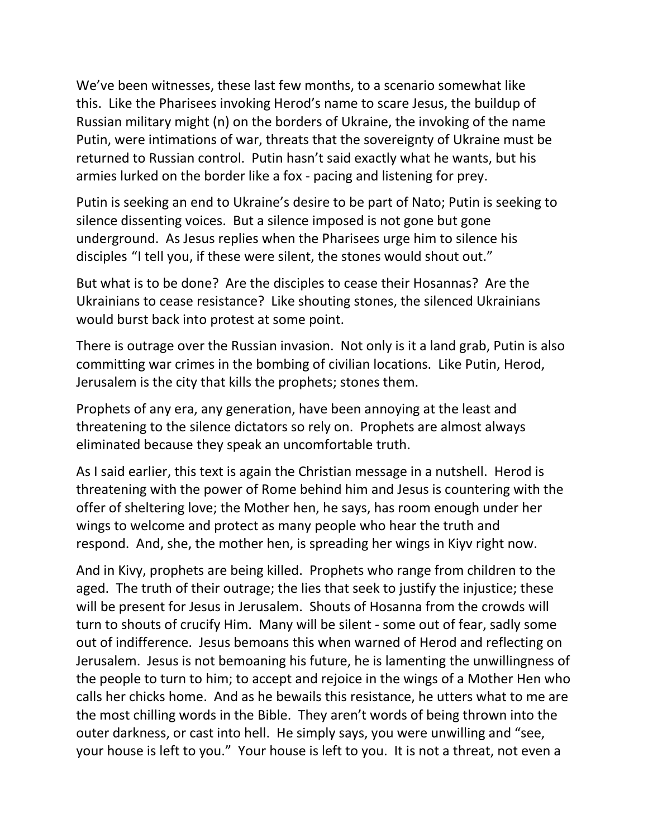We've been witnesses, these last few months, to a scenario somewhat like this. Like the Pharisees invoking Herod's name to scare Jesus, the buildup of Russian military might (n) on the borders of Ukraine, the invoking of the name Putin, were intimations of war, threats that the sovereignty of Ukraine must be returned to Russian control. Putin hasn't said exactly what he wants, but his armies lurked on the border like a fox - pacing and listening for prey.

Putin is seeking an end to Ukraine's desire to be part of Nato; Putin is seeking to silence dissenting voices. But a silence imposed is not gone but gone underground. As Jesus replies when the Pharisees urge him to silence his disciples "I tell you, if these were silent, the stones would shout out."

But what is to be done? Are the disciples to cease their Hosannas? Are the Ukrainians to cease resistance? Like shouting stones, the silenced Ukrainians would burst back into protest at some point.

There is outrage over the Russian invasion. Not only is it a land grab, Putin is also committing war crimes in the bombing of civilian locations. Like Putin, Herod, Jerusalem is the city that kills the prophets; stones them.

Prophets of any era, any generation, have been annoying at the least and threatening to the silence dictators so rely on. Prophets are almost always eliminated because they speak an uncomfortable truth.

As I said earlier, this text is again the Christian message in a nutshell. Herod is threatening with the power of Rome behind him and Jesus is countering with the offer of sheltering love; the Mother hen, he says, has room enough under her wings to welcome and protect as many people who hear the truth and respond. And, she, the mother hen, is spreading her wings in Kiyv right now.

And in Kivy, prophets are being killed. Prophets who range from children to the aged. The truth of their outrage; the lies that seek to justify the injustice; these will be present for Jesus in Jerusalem. Shouts of Hosanna from the crowds will turn to shouts of crucify Him. Many will be silent - some out of fear, sadly some out of indifference. Jesus bemoans this when warned of Herod and reflecting on Jerusalem. Jesus is not bemoaning his future, he is lamenting the unwillingness of the people to turn to him; to accept and rejoice in the wings of a Mother Hen who calls her chicks home. And as he bewails this resistance, he utters what to me are the most chilling words in the Bible. They aren't words of being thrown into the outer darkness, or cast into hell. He simply says, you were unwilling and "see, your house is left to you." Your house is left to you. It is not a threat, not even a